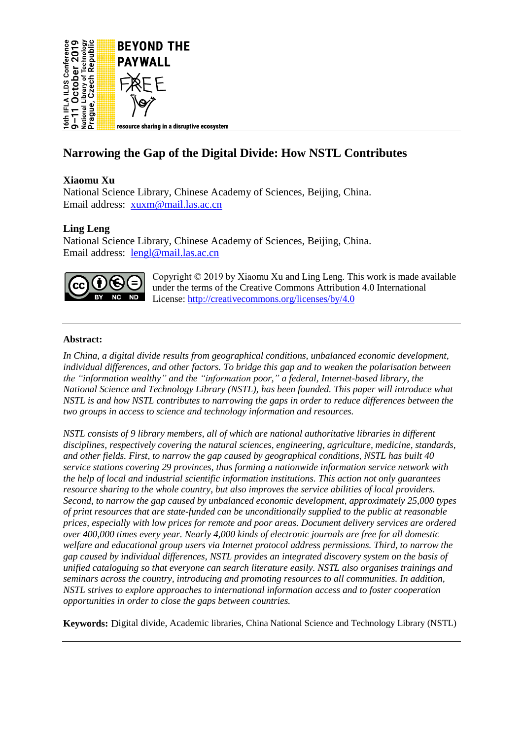

# **Narrowing the Gap of the Digital Divide: How NSTL Contributes**

## **Xiaomu Xu**

National Science Library, Chinese Academy of Sciences, Beijing, China. Email address: [xuxm@mail.las.ac.cn](mailto:xuxm@mail.las.ac.cn)

## **Ling Leng**

National Science Library, Chinese Academy of Sciences, Beijing, China. Email address: [lengl@mail.las.ac.cn](mailto:lengl@mail.las.ac.cn)



Copyright © 2019 by Xiaomu Xu and Ling Leng. This work is made available under the terms of the Creative Commons Attribution 4.0 International License[: http://creativecommons.org/licenses/by/4.0](http://creativecommons.org/licenses/by/4.0)

#### **Abstract:**

*In China, a digital divide results from geographical conditions, unbalanced economic development, individual differences, and other factors. To bridge this gap and to weaken the polarisation between the "information wealthy" and the "information poor," a federal, Internet-based library, the National Science and Technology Library (NSTL), has been founded. This paper will introduce what NSTL is and how NSTL contributes to narrowing the gaps in order to reduce differences between the two groups in access to science and technology information and resources.*

*NSTL consists of 9 library members, all of which are national authoritative libraries in different disciplines, respectively covering the natural sciences, engineering, agriculture, medicine, standards, and other fields. First, to narrow the gap caused by geographical conditions, NSTL has built 40 service stations covering 29 provinces, thus forming a nationwide information service network with the help of local and industrial scientific information institutions. This action not only guarantees resource sharing to the whole country, but also improves the service abilities of local providers. Second, to narrow the gap caused by unbalanced economic development, approximately 25,000 types of print resources that are state-funded can be unconditionally supplied to the public at reasonable prices, especially with low prices for remote and poor areas. Document delivery services are ordered over 400,000 times every year. Nearly 4,000 kinds of electronic journals are free for all domestic welfare and educational group users via Internet protocol address permissions. Third, to narrow the gap caused by individual differences, NSTL provides an integrated discovery system on the basis of unified cataloguing so that everyone can search literature easily. NSTL also organises trainings and seminars across the country, introducing and promoting resources to all communities. In addition, NSTL strives to explore approaches to international information access and to foster cooperation opportunities in order to close the gaps between countries.*

**Keywords:** Digital divide, Academic libraries, China National Science and Technology Library (NSTL)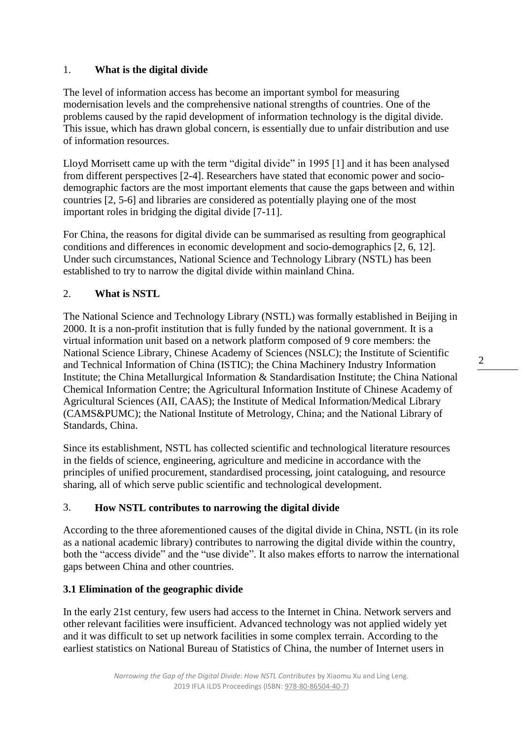# 1. **What is the digital divide**

The level of information access has become an important symbol for measuring modernisation levels and the comprehensive national strengths of countries. One of the problems caused by the rapid development of information technology is the digital divide. This issue, which has drawn global concern, is essentially due to unfair distribution and use of information resources.

Lloyd Morrisett came up with the term "digital divide" in 1995 [1] and it has been analysed from different perspectives [2-4]. Researchers have stated that economic power and sociodemographic factors are the most important elements that cause the gaps between and within countries [2, 5-6] and libraries are considered as potentially playing one of the most important roles in bridging the digital divide [7-11].

For China, the reasons for digital divide can be summarised as resulting from geographical conditions and differences in economic development and socio-demographics [2, 6, 12]. Under such circumstances, National Science and Technology Library (NSTL) has been established to try to narrow the digital divide within mainland China.

## 2. **What is NSTL**

The National Science and Technology Library (NSTL) was formally established in Beijing in 2000. It is a non-profit institution that is fully funded by the national government. It is a virtual information unit based on a network platform composed of 9 core members: the National Science Library, Chinese Academy of Sciences (NSLC); the Institute of Scientific and Technical Information of China (ISTIC); the China Machinery Industry Information Institute; the China Metallurgical Information & Standardisation Institute; the China National Chemical Information Centre; the Agricultural Information Institute of Chinese Academy of Agricultural Sciences (AII, CAAS); the Institute of Medical Information/Medical Library (CAMS&PUMC); the National Institute of Metrology, China; and the National Library of Standards, China.

Since its establishment, NSTL has collected scientific and technological literature resources in the fields of science, engineering, agriculture and medicine in accordance with the principles of unified procurement, standardised processing, joint cataloguing, and resource sharing, all of which serve public scientific and technological development.

# 3. **How NSTL contributes to narrowing the digital divide**

According to the three aforementioned causes of the digital divide in China, NSTL (in its role as a national academic library) contributes to narrowing the digital divide within the country, both the "access divide" and the "use divide". It also makes efforts to narrow the international gaps between China and other countries.

## **3.1 Elimination of the geographic divide**

In the early 21st century, few users had access to the Internet in China. Network servers and other relevant facilities were insufficient. Advanced technology was not applied widely yet and it was difficult to set up network facilities in some complex terrain. According to the earliest statistics on National Bureau of Statistics of China, the number of Internet users in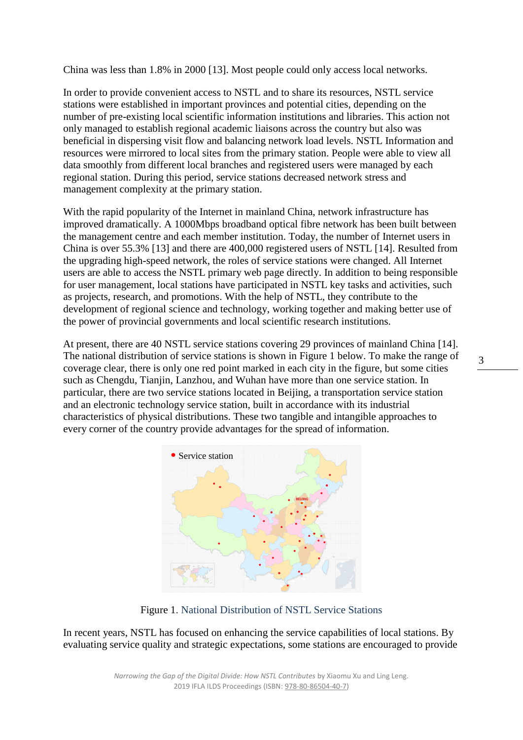China was less than 1.8% in 2000 [13]. Most people could only access local networks.

In order to provide convenient access to NSTL and to share its resources, NSTL service stations were established in important provinces and potential cities, depending on the number of pre-existing local scientific information institutions and libraries. This action not only managed to establish regional academic liaisons across the country but also was beneficial in dispersing visit flow and balancing network load levels. NSTL Information and resources were mirrored to local sites from the primary station. People were able to view all data smoothly from different local branches and registered users were managed by each regional station. During this period, service stations decreased network stress and management complexity at the primary station.

With the rapid popularity of the Internet in mainland China, network infrastructure has improved dramatically. A 1000Mbps broadband optical fibre network has been built between the management centre and each member institution. Today, the number of Internet users in China is over 55.3% [13] and there are 400,000 registered users of NSTL [14]. Resulted from the upgrading high-speed network, the roles of service stations were changed. All Internet users are able to access the NSTL primary web page directly. In addition to being responsible for user management, local stations have participated in NSTL key tasks and activities, such as projects, research, and promotions. With the help of NSTL, they contribute to the development of regional science and technology, working together and making better use of the power of provincial governments and local scientific research institutions.

At present, there are 40 NSTL service stations covering 29 provinces of mainland China [14]. The national distribution of service stations is shown in Figure 1 below. To make the range of coverage clear, there is only one red point marked in each city in the figure, but some cities such as Chengdu, Tianjin, Lanzhou, and Wuhan have more than one service station. In particular, there are two service stations located in Beijing, a transportation service station and an electronic technology service station, built in accordance with its industrial characteristics of physical distributions. These two tangible and intangible approaches to every corner of the country provide advantages for the spread of information.



Figure 1. National Distribution of NSTL Service Stations

In recent years, NSTL has focused on enhancing the service capabilities of local stations. By evaluating service quality and strategic expectations, some stations are encouraged to provide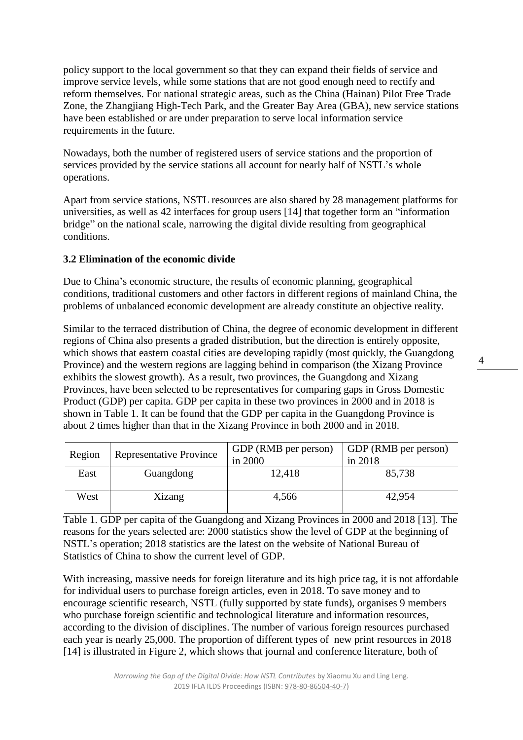policy support to the local government so that they can expand their fields of service and improve service levels, while some stations that are not good enough need to rectify and reform themselves. For national strategic areas, such as the China (Hainan) Pilot Free Trade Zone, the Zhangjiang High-Tech Park, and the Greater Bay Area (GBA), new service stations have been established or are under preparation to serve local information service requirements in the future.

Nowadays, both the number of registered users of service stations and the proportion of services provided by the service stations all account for nearly half of NSTL's whole operations.

Apart from service stations, NSTL resources are also shared by 28 management platforms for universities, as well as 42 interfaces for group users [14] that together form an "information bridge" on the national scale, narrowing the digital divide resulting from geographical conditions.

## **3.2 Elimination of the economic divide**

Due to China's economic structure, the results of economic planning, geographical conditions, traditional customers and other factors in different regions of mainland China, the problems of unbalanced economic development are already constitute an objective reality.

Similar to the terraced distribution of China, the degree of economic development in different regions of China also presents a graded distribution, but the direction is entirely opposite, which shows that eastern coastal cities are developing rapidly (most quickly, the Guangdong Province) and the western regions are lagging behind in comparison (the Xizang Province exhibits the slowest growth). As a result, two provinces, the Guangdong and Xizang Provinces, have been selected to be representatives for comparing gaps in Gross Domestic Product (GDP) per capita. GDP per capita in these two provinces in 2000 and in 2018 is shown in Table 1. It can be found that the GDP per capita in the Guangdong Province is about 2 times higher than that in the Xizang Province in both 2000 and in 2018.

| Region | <b>Representative Province</b> | GDP (RMB per person)<br>in 2000 | GDP (RMB per person)<br>in 2018 |
|--------|--------------------------------|---------------------------------|---------------------------------|
| East   | Guangdong                      | 12,418                          | 85,738                          |
| West   | Xizang                         | 4,566                           | 42,954                          |

Table 1. GDP per capita of the Guangdong and Xizang Provinces in 2000 and 2018 [13]. The reasons for the years selected are: 2000 statistics show the level of GDP at the beginning of NSTL's operation; 2018 statistics are the latest on the website of National Bureau of Statistics of China to show the current level of GDP.

With increasing, massive needs for foreign literature and its high price tag, it is not affordable for individual users to purchase foreign articles, even in 2018. To save money and to encourage scientific research, NSTL (fully supported by state funds), organises 9 members who purchase foreign scientific and technological literature and information resources, according to the division of disciplines. The number of various foreign resources purchased each year is nearly 25,000. The proportion of different types of new print resources in 2018 [14] is illustrated in Figure 2, which shows that journal and conference literature, both of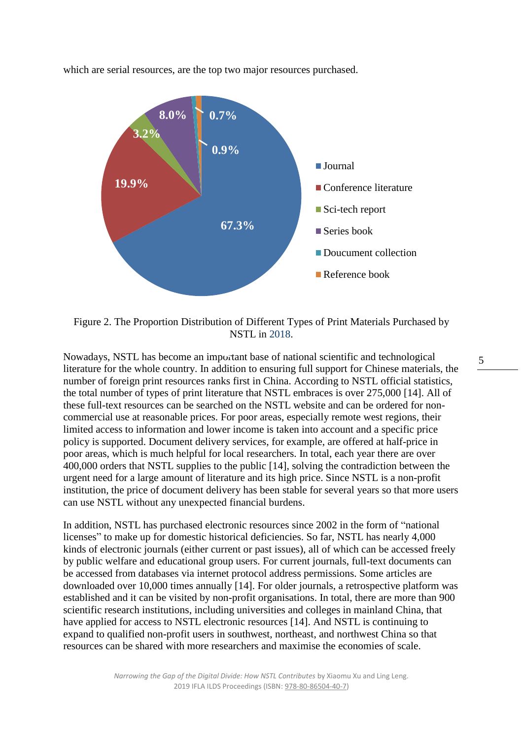which are serial resources, are the top two major resources purchased.



Figure 2. The Proportion Distribution of Different Types of Print Materials Purchased by NSTL in 2018.

Nowadays, NSTL has become an important base of national scientific and technological literature for the whole country. In addition to ensuring full support for Chinese materials, the number of foreign print resources ranks first in China. According to NSTL official statistics, the total number of types of print literature that NSTL embraces is over 275,000 [14]. All of these full-text resources can be searched on the NSTL website and can be ordered for noncommercial use at reasonable prices. For poor areas, especially remote west regions, their limited access to information and lower income is taken into account and a specific price policy is supported. Document delivery services, for example, are offered at half-price in poor areas, which is much helpful for local researchers. In total, each year there are over 400,000 orders that NSTL supplies to the public [14], solving the contradiction between the urgent need for a large amount of literature and its high price. Since NSTL is a non-profit institution, the price of document delivery has been stable for several years so that more users can use NSTL without any unexpected financial burdens.

In addition, NSTL has purchased electronic resources since 2002 in the form of "national licenses" to make up for domestic historical deficiencies. So far, NSTL has nearly 4,000 kinds of electronic journals (either current or past issues), all of which can be accessed freely by public welfare and educational group users. For current journals, full-text documents can be accessed from databases via internet protocol address permissions. Some articles are downloaded over 10,000 times annually [14]. For older journals, a retrospective platform was established and it can be visited by non-profit organisations. In total, there are more than 900 scientific research institutions, including universities and colleges in mainland China, that have applied for access to NSTL electronic resources [14]. And NSTL is continuing to expand to qualified non-profit users in southwest, northeast, and northwest China so that resources can be shared with more researchers and maximise the economies of scale.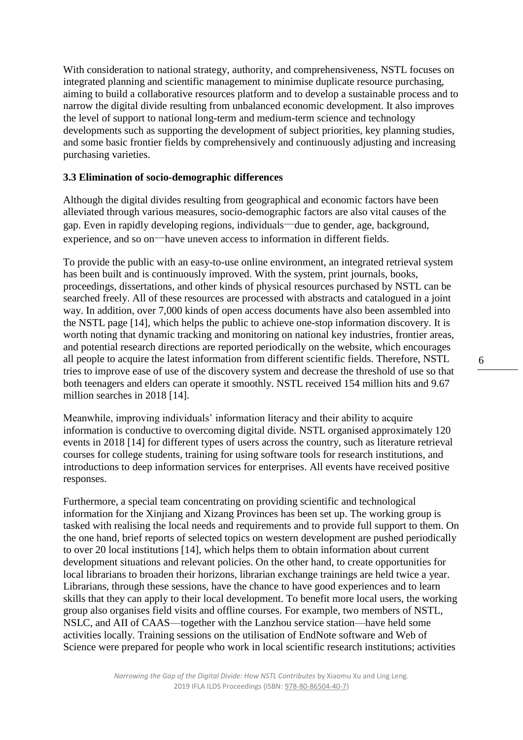With consideration to national strategy, authority, and comprehensiveness, NSTL focuses on integrated planning and scientific management to minimise duplicate resource purchasing, aiming to build a collaborative resources platform and to develop a sustainable process and to narrow the digital divide resulting from unbalanced economic development. It also improves the level of support to national long-term and medium-term science and technology developments such as supporting the development of subject priorities, key planning studies, and some basic frontier fields by comprehensively and continuously adjusting and increasing purchasing varieties.

#### **3.3 Elimination of socio-demographic differences**

Although the digital divides resulting from geographical and economic factors have been alleviated through various measures, socio-demographic factors are also vital causes of the gap. Even in rapidly developing regions, individuals—due to gender, age, background, experience, and so on—have uneven access to information in different fields.

To provide the public with an easy-to-use online environment, an integrated retrieval system has been built and is continuously improved. With the system, print journals, books, proceedings, dissertations, and other kinds of physical resources purchased by NSTL can be searched freely. All of these resources are processed with abstracts and catalogued in a joint way. In addition, over 7,000 kinds of open access documents have also been assembled into the NSTL page [14], which helps the public to achieve one-stop information discovery. It is worth noting that dynamic tracking and monitoring on national key industries, frontier areas, and potential research directions are reported periodically on the website, which encourages all people to acquire the latest information from different scientific fields. Therefore, NSTL tries to improve ease of use of the discovery system and decrease the threshold of use so that both teenagers and elders can operate it smoothly. NSTL received 154 million hits and 9.67 million searches in 2018 [14].

Meanwhile, improving individuals' information literacy and their ability to acquire information is conductive to overcoming digital divide. NSTL organised approximately 120 events in 2018 [14] for different types of users across the country, such as literature retrieval courses for college students, training for using software tools for research institutions, and introductions to deep information services for enterprises. All events have received positive responses.

Furthermore, a special team concentrating on providing scientific and technological information for the Xinjiang and Xizang Provinces has been set up. The working group is tasked with realising the local needs and requirements and to provide full support to them. On the one hand, brief reports of selected topics on western development are pushed periodically to over 20 local institutions [14], which helps them to obtain information about current development situations and relevant policies. On the other hand, to create opportunities for local librarians to broaden their horizons, librarian exchange trainings are held twice a year. Librarians, through these sessions, have the chance to have good experiences and to learn skills that they can apply to their local development. To benefit more local users, the working group also organises field visits and offline courses. For example, two members of NSTL, NSLC, and AII of CAAS—together with the Lanzhou service station—have held some activities locally. Training sessions on the utilisation of EndNote software and Web of Science were prepared for people who work in local scientific research institutions; activities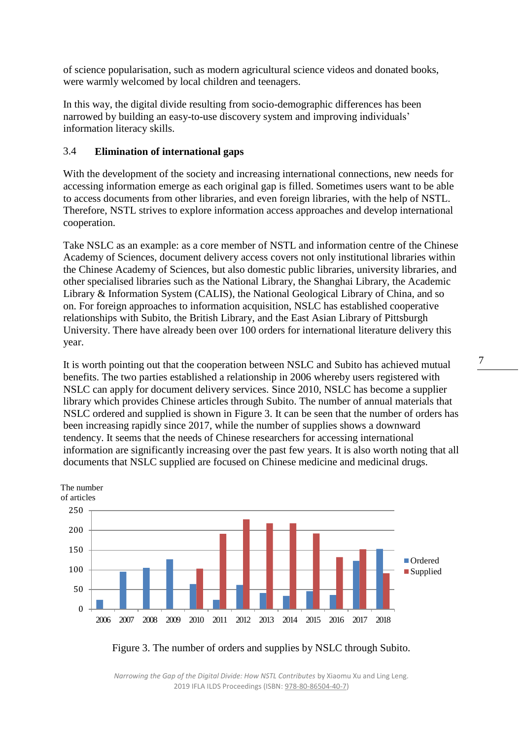of science popularisation, such as modern agricultural science videos and donated books, were warmly welcomed by local children and teenagers.

In this way, the digital divide resulting from socio-demographic differences has been narrowed by building an easy-to-use discovery system and improving individuals' information literacy skills.

#### 3.4 **Elimination of international gaps**

With the development of the society and increasing international connections, new needs for accessing information emerge as each original gap is filled. Sometimes users want to be able to access documents from other libraries, and even foreign libraries, with the help of NSTL. Therefore, NSTL strives to explore information access approaches and develop international cooperation.

Take NSLC as an example: as a core member of NSTL and information centre of the Chinese Academy of Sciences, document delivery access covers not only institutional libraries within the Chinese Academy of Sciences, but also domestic public libraries, university libraries, and other specialised libraries such as the National Library, the Shanghai Library, the Academic Library & Information System (CALIS), the National Geological Library of China, and so on. For foreign approaches to information acquisition, NSLC has established cooperative relationships with Subito, the British Library, and the East Asian Library of Pittsburgh University. There have already been over 100 orders for international literature delivery this year.

It is worth pointing out that the cooperation between NSLC and Subito has achieved mutual benefits. The two parties established a relationship in 2006 whereby users registered with NSLC can apply for document delivery services. Since 2010, NSLC has become a supplier library which provides Chinese articles through Subito. The number of annual materials that NSLC ordered and supplied is shown in Figure 3. It can be seen that the number of orders has been increasing rapidly since 2017, while the number of supplies shows a downward tendency. It seems that the needs of Chinese researchers for accessing international information are significantly increasing over the past few years. It is also worth noting that all documents that NSLC supplied are focused on Chinese medicine and medicinal drugs.



Figure 3. The number of orders and supplies by NSLC through Subito.

*Narrowing the Gap of the Digital Divide: How NSTL Contributes* by Xiaomu Xu and Ling Leng. 2019 IFLA ILDS Proceedings (ISBN[: 978-80-86504-40-7\)](https://www.techlib.cz/en/84026)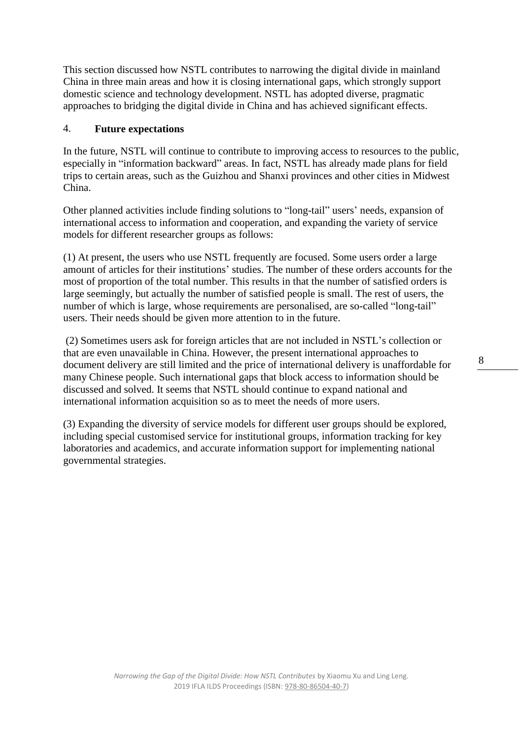This section discussed how NSTL contributes to narrowing the digital divide in mainland China in three main areas and how it is closing international gaps, which strongly support domestic science and technology development. NSTL has adopted diverse, pragmatic approaches to bridging the digital divide in China and has achieved significant effects.

#### 4. **Future expectations**

In the future, NSTL will continue to contribute to improving access to resources to the public, especially in "information backward" areas. In fact, NSTL has already made plans for field trips to certain areas, such as the Guizhou and Shanxi provinces and other cities in Midwest China.

Other planned activities include finding solutions to "long-tail" users' needs, expansion of international access to information and cooperation, and expanding the variety of service models for different researcher groups as follows:

(1) At present, the users who use NSTL frequently are focused. Some users order a large amount of articles for their institutions' studies. The number of these orders accounts for the most of proportion of the total number. This results in that the number of satisfied orders is large seemingly, but actually the number of satisfied people is small. The rest of users, the number of which is large, whose requirements are personalised, are so-called "long-tail" users. Their needs should be given more attention to in the future.

(2) Sometimes users ask for foreign articles that are not included in NSTL's collection or that are even unavailable in China. However, the present international approaches to document delivery are still limited and the price of international delivery is unaffordable for many Chinese people. Such international gaps that block access to information should be discussed and solved. It seems that NSTL should continue to expand national and international information acquisition so as to meet the needs of more users.

(3) Expanding the diversity of service models for different user groups should be explored, including special customised service for institutional groups, information tracking for key laboratories and academics, and accurate information support for implementing national governmental strategies.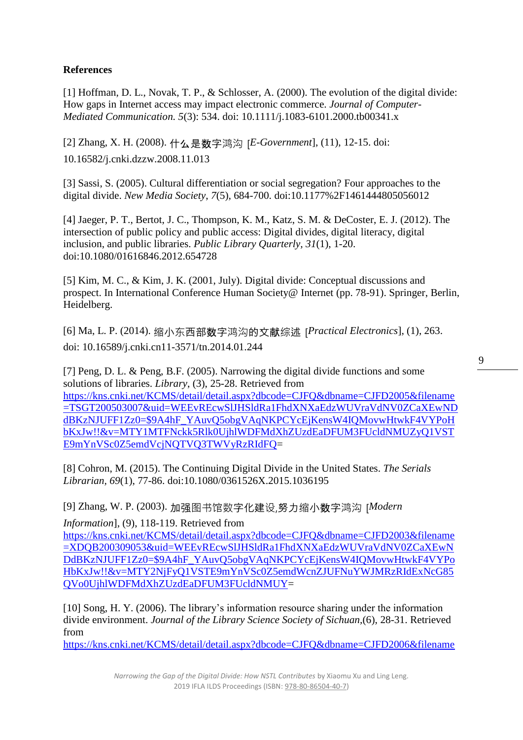## **References**

[1] Hoffman, D. L., Novak, T. P., & Schlosser, A. (2000). The evolution of the digital divide: How gaps in Internet access may impact electronic commerce. *Journal of Computer-Mediated Communication. 5*(3): 534. doi: 10.1111/j.1083-6101.2000.tb00341.x

[2] Zhang, X. H. (2008). 什么是数字鸿沟 [*E-Government*], (11), 12-15. doi: 10.16582/j.cnki.dzzw.2008.11.013

[3] Sassi, S. (2005). Cultural differentiation or social segregation? Four approaches to the digital divide. *New Media Society*, *7*(5), 684-700. doi[:10.1177%2F1461444805056012](https://doi.org/10.1177%2F1461444805056012)

[4] Jaeger, P. T., Bertot, J. C., Thompson, K. M., Katz, S. M. & DeCoster, E. J. (2012). The intersection of public policy and public access: Digital divides, digital literacy, digital inclusion, and public libraries. *Public Library Quarterly, 31*(1), 1-20. doi[:10.1080/01616846.2012.654728](https://doi-org./10.1080/01616846.2012.654728)

[5] Kim, M. C., & Kim, J. K. (2001, July). Digital divide: Conceptual discussions and prospect. In International Conference Human Society@ Internet (pp. 78-91). Springer, Berlin, Heidelberg.

[6] Ma, L. P. (2014). 缩小东西部数字鸿沟的文献综述 [*Practical Electronics*], (1), 263. doi: 10.16589/j.cnki.cn11-3571/tn.2014.01.244

[7] Peng, D. L. & Peng, B.F. (2005). Narrowing the digital divide functions and some solutions of libraries. *Library*, (3), 25-28. Retrieved from [https://kns.cnki.net/KCMS/detail/detail.aspx?dbcode=CJFQ&dbname=CJFD2005&filename](https://kns.cnki.net/KCMS/detail/detail.aspx?dbcode=CJFQ&dbname=CJFD2005&filename=TSGT200503007&uid=WEEvREcwSlJHSldRa1FhdXNXaEdzWUVraVdNV0ZCaXEwNDdBKzNJUFF1Zz0=$9A4hF_YAuvQ5obgVAqNKPCYcEjKensW4IQMovwHtwkF4VYPoHbKxJw!!&v=MTY1MTFNckk5Rlk0UjhlWDFMdXhZUzdEaDFUM3FUcldNMUZyQ1VSTE9mYnVSc0Z5emdVcjNQTVQ3TWVyRzRIdFQ) [=TSGT200503007&uid=WEEvREcwSlJHSldRa1FhdXNXaEdzWUVraVdNV0ZCaXEwND](https://kns.cnki.net/KCMS/detail/detail.aspx?dbcode=CJFQ&dbname=CJFD2005&filename=TSGT200503007&uid=WEEvREcwSlJHSldRa1FhdXNXaEdzWUVraVdNV0ZCaXEwNDdBKzNJUFF1Zz0=$9A4hF_YAuvQ5obgVAqNKPCYcEjKensW4IQMovwHtwkF4VYPoHbKxJw!!&v=MTY1MTFNckk5Rlk0UjhlWDFMdXhZUzdEaDFUM3FUcldNMUZyQ1VSTE9mYnVSc0Z5emdVcjNQTVQ3TWVyRzRIdFQ) [dBKzNJUFF1Zz0=\\$9A4hF\\_YAuvQ5obgVAqNKPCYcEjKensW4IQMovwHtwkF4VYPoH](https://kns.cnki.net/KCMS/detail/detail.aspx?dbcode=CJFQ&dbname=CJFD2005&filename=TSGT200503007&uid=WEEvREcwSlJHSldRa1FhdXNXaEdzWUVraVdNV0ZCaXEwNDdBKzNJUFF1Zz0=$9A4hF_YAuvQ5obgVAqNKPCYcEjKensW4IQMovwHtwkF4VYPoHbKxJw!!&v=MTY1MTFNckk5Rlk0UjhlWDFMdXhZUzdEaDFUM3FUcldNMUZyQ1VSTE9mYnVSc0Z5emdVcjNQTVQ3TWVyRzRIdFQ) [bKxJw!!&v=MTY1MTFNckk5Rlk0UjhlWDFMdXhZUzdEaDFUM3FUcldNMUZyQ1VST](https://kns.cnki.net/KCMS/detail/detail.aspx?dbcode=CJFQ&dbname=CJFD2005&filename=TSGT200503007&uid=WEEvREcwSlJHSldRa1FhdXNXaEdzWUVraVdNV0ZCaXEwNDdBKzNJUFF1Zz0=$9A4hF_YAuvQ5obgVAqNKPCYcEjKensW4IQMovwHtwkF4VYPoHbKxJw!!&v=MTY1MTFNckk5Rlk0UjhlWDFMdXhZUzdEaDFUM3FUcldNMUZyQ1VSTE9mYnVSc0Z5emdVcjNQTVQ3TWVyRzRIdFQ) [E9mYnVSc0Z5emdVcjNQTVQ3TWVyRzRIdFQ=](https://kns.cnki.net/KCMS/detail/detail.aspx?dbcode=CJFQ&dbname=CJFD2005&filename=TSGT200503007&uid=WEEvREcwSlJHSldRa1FhdXNXaEdzWUVraVdNV0ZCaXEwNDdBKzNJUFF1Zz0=$9A4hF_YAuvQ5obgVAqNKPCYcEjKensW4IQMovwHtwkF4VYPoHbKxJw!!&v=MTY1MTFNckk5Rlk0UjhlWDFMdXhZUzdEaDFUM3FUcldNMUZyQ1VSTE9mYnVSc0Z5emdVcjNQTVQ3TWVyRzRIdFQ)

[8] Cohron, M. (2015). The Continuing Digital Divide in the United States. *The Serials Librarian, 69*(1), 77-86. doi[:10.1080/0361526X.2015.1036195](https://doi-org/10.1080/0361526X.2015.1036195) 

[9] Zhang, W. P. (2003). 加强图书馆数字化建设,努力缩小数字鸿沟 [*Modern* 

*Information*], (9), 118-119. Retrieved from [https://kns.cnki.net/KCMS/detail/detail.aspx?dbcode=CJFQ&dbname=CJFD2003&filename](https://kns.cnki.net/KCMS/detail/detail.aspx?dbcode=CJFQ&dbname=CJFD2003&filename=XDQB200309053&uid=WEEvREcwSlJHSldRa1FhdXNXaEdzWUVraVdNV0ZCaXEwNDdBKzNJUFF1Zz0=$9A4hF_YAuvQ5obgVAqNKPCYcEjKensW4IQMovwHtwkF4VYPoHbKxJw!!&v=MTY2NjFyQ1VSTE9mYnVSc0Z5emdWcnZJUFNuYWJMRzRIdExNcG85QVo0UjhlWDFMdXhZUzdEaDFUM3FUcldNMUY) [=XDQB200309053&uid=WEEvREcwSlJHSldRa1FhdXNXaEdzWUVraVdNV0ZCaXEwN](https://kns.cnki.net/KCMS/detail/detail.aspx?dbcode=CJFQ&dbname=CJFD2003&filename=XDQB200309053&uid=WEEvREcwSlJHSldRa1FhdXNXaEdzWUVraVdNV0ZCaXEwNDdBKzNJUFF1Zz0=$9A4hF_YAuvQ5obgVAqNKPCYcEjKensW4IQMovwHtwkF4VYPoHbKxJw!!&v=MTY2NjFyQ1VSTE9mYnVSc0Z5emdWcnZJUFNuYWJMRzRIdExNcG85QVo0UjhlWDFMdXhZUzdEaDFUM3FUcldNMUY) [DdBKzNJUFF1Zz0=\\$9A4hF\\_YAuvQ5obgVAqNKPCYcEjKensW4IQMovwHtwkF4VYPo](https://kns.cnki.net/KCMS/detail/detail.aspx?dbcode=CJFQ&dbname=CJFD2003&filename=XDQB200309053&uid=WEEvREcwSlJHSldRa1FhdXNXaEdzWUVraVdNV0ZCaXEwNDdBKzNJUFF1Zz0=$9A4hF_YAuvQ5obgVAqNKPCYcEjKensW4IQMovwHtwkF4VYPoHbKxJw!!&v=MTY2NjFyQ1VSTE9mYnVSc0Z5emdWcnZJUFNuYWJMRzRIdExNcG85QVo0UjhlWDFMdXhZUzdEaDFUM3FUcldNMUY) [HbKxJw!!&v=MTY2NjFyQ1VSTE9mYnVSc0Z5emdWcnZJUFNuYWJMRzRIdExNcG85](https://kns.cnki.net/KCMS/detail/detail.aspx?dbcode=CJFQ&dbname=CJFD2003&filename=XDQB200309053&uid=WEEvREcwSlJHSldRa1FhdXNXaEdzWUVraVdNV0ZCaXEwNDdBKzNJUFF1Zz0=$9A4hF_YAuvQ5obgVAqNKPCYcEjKensW4IQMovwHtwkF4VYPoHbKxJw!!&v=MTY2NjFyQ1VSTE9mYnVSc0Z5emdWcnZJUFNuYWJMRzRIdExNcG85QVo0UjhlWDFMdXhZUzdEaDFUM3FUcldNMUY) [QVo0UjhlWDFMdXhZUzdEaDFUM3FUcldNMUY=](https://kns.cnki.net/KCMS/detail/detail.aspx?dbcode=CJFQ&dbname=CJFD2003&filename=XDQB200309053&uid=WEEvREcwSlJHSldRa1FhdXNXaEdzWUVraVdNV0ZCaXEwNDdBKzNJUFF1Zz0=$9A4hF_YAuvQ5obgVAqNKPCYcEjKensW4IQMovwHtwkF4VYPoHbKxJw!!&v=MTY2NjFyQ1VSTE9mYnVSc0Z5emdWcnZJUFNuYWJMRzRIdExNcG85QVo0UjhlWDFMdXhZUzdEaDFUM3FUcldNMUY)

[10] Song, H. Y. (2006). The library's information resource sharing under the information divide environment. *Journal of the Library Science Society of Sichuan,*(6), 28-31. Retrieved from

[https://kns.cnki.net/KCMS/detail/detail.aspx?dbcode=CJFQ&dbname=CJFD2006&filename](https://kns.cnki.net/KCMS/detail/detail.aspx?dbcode=CJFQ&dbname=CJFD2006&filename=TUSH200606005&uid=WEEvREcwSlJHSldRa1FhdXNXaEdzWUVraVdNV0ZCaXEwNDdBKzNJUFF1Zz0=$9A4hF_YAuvQ5obgVAqNKPCYcEjKensW4IQMovwHtwkF4VYPoHbKxJw!!&v=MTYyMjZZUzdEaDFUM3FUcldNMUZyQ1VSTE9mYnVSc0Z5emdWTHZPTVRqWVpyRzRIdGZNcVk5RllZUjhlWDFMdXg)